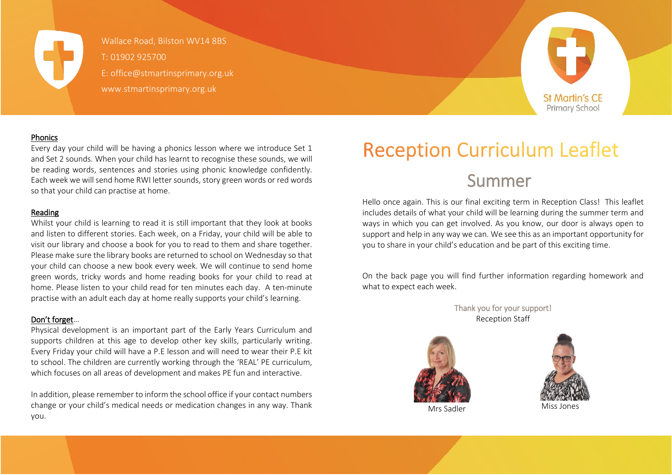

Wallace Road, Bilston WV14 8BS Wallace Road, Bilston WV14 8BS  $\sqrt{ }$  T: 01902 925700 E: office@stmartinsprimary.org.uk E: office@stmartinsprimary.org.uk www.stmartinsprimary.org.uk www.stmartinsprimary.org.uk



### **Phonics**

Every day your child will be having a phonics lesson where we introduce Set 1 and Set 2 sounds. When your child has learnt to recognise these sounds, we will be reading words, sentences and stories using phonic knowledge confidently. Each week we will send home RWI letter sounds, story green words or red words so that your child can practise at home.

#### Reading

Whilst your child is learning to read it is still important that they look at books and listen to different stories. Each week, on a Friday, your child will be able to visit our library and choose a book for you to read to them and share together. Please make sure the library books are returned to school on Wednesday so that your child can choose a new book every week. We will continue to send home green words, tricky words and home reading books for your child to read at home. Please listen to your child read for ten minutes each day. A ten-minute practise with an adult each day at home really supports your child's learning.

#### Don't forget…

Physical development is an important part of the Early Years Curriculum and supports children at this age to develop other key skills, particularly writing. Every Friday your child will have a P.E lesson and will need to wear their P.E kit to school. The children are currently working through the 'REAL' PE curriculum, which focuses on all areas of development and makes PE fun and interactive.

In addition, please remember to inform the school office if your contact numbers change or your child's medical needs or medication changes in any way. Thank you.

# **Reception Curriculum Leaflet**

# Summer

Hello once again. This is our final exciting term in Reception Class! This leaflet includes details of what your child will be learning during the summer term and ways in which you can get involved. As you know, our door is always open to support and help in any way we can. We see this as an important opportunity for you to share in your child's education and be part of this exciting time.

On the back page you will find further information regarding homework and what to expect each week.

> Thank you for your support! Reception Staff



Mrs Sadler Miss Jones